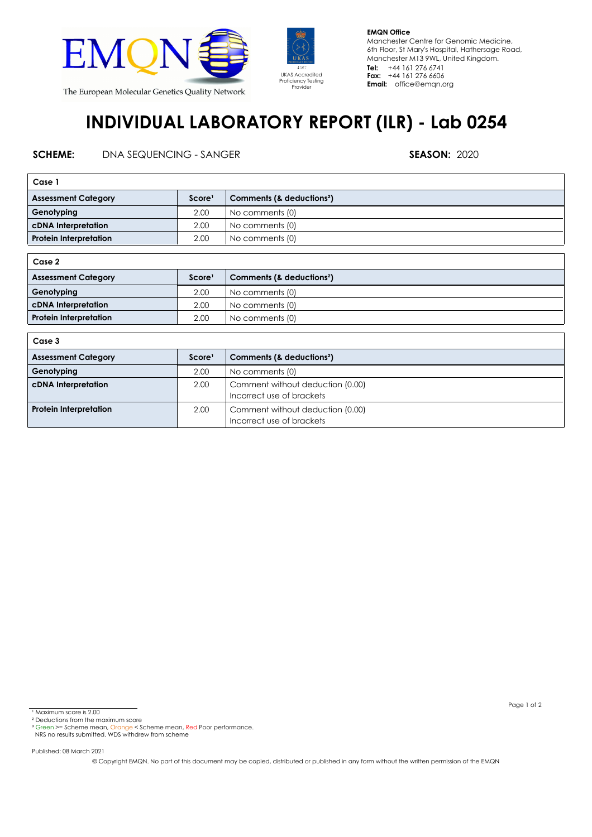



**EMQN Office** Manchester Centre for Genomic Medicine, 6th Floor, St Mary's Hospital, Hathersage Road, Manchester M13 9WL, United Kingdom. **Tel: Fax: Email:** office@emqn.org +44 161 276 6741 +44 161 276 6606

## **INDIVIDUAL LABORATORY REPORT (ILR) - Lab 0254**

## **SCHEME:** DNA SEQUENCING - SANGER **SEASON:** 2020

| Case 1                        |                    |                                       |  |  |
|-------------------------------|--------------------|---------------------------------------|--|--|
| <b>Assessment Category</b>    | Score <sup>1</sup> | Comments (& deductions <sup>2</sup> ) |  |  |
| Genotyping                    | 2.00               | No comments (0)                       |  |  |
| cDNA Interpretation           | 2.00               | No comments (0)                       |  |  |
| <b>Protein Interpretation</b> | 2.00               | No comments (0)                       |  |  |
|                               |                    |                                       |  |  |

| Case 2                        |                    |                                       |  |  |
|-------------------------------|--------------------|---------------------------------------|--|--|
| <b>Assessment Category</b>    | Score <sup>1</sup> | Comments (& deductions <sup>2</sup> ) |  |  |
| Genotyping                    | 2.00               | No comments (0)                       |  |  |
| <b>cDNA</b> Interpretation    | 2.00               | No comments (0)                       |  |  |
| <b>Protein Interpretation</b> | 2.00               | No comments (0)                       |  |  |

| Case 3                        |                    |                                                               |  |  |
|-------------------------------|--------------------|---------------------------------------------------------------|--|--|
| <b>Assessment Category</b>    | Score <sup>1</sup> | Comments (& deductions <sup>2</sup> )                         |  |  |
| Genotyping                    | 2.00               | No comments (0)                                               |  |  |
| cDNA Interpretation           | 2.00               | Comment without deduction (0.00)<br>Incorrect use of brackets |  |  |
| <b>Protein Interpretation</b> | 2.00               | Comment without deduction (0.00)<br>Incorrect use of brackets |  |  |

Published: 08 March 2021

© Copyright EMQN. No part of this document may be copied, distributed or published in any form without the written permission of the EMQN

Page 1 of 2

<sup>&</sup>lt;sup>1</sup> Maximum score is 2.00

² Deductions from the maximum score

<sup>&</sup>lt;sup>3</sup> Green >= Scheme mean, Orange < Scheme mean, Red Poor performance.<br>NRS no results submitted. WDS withdrew from scheme